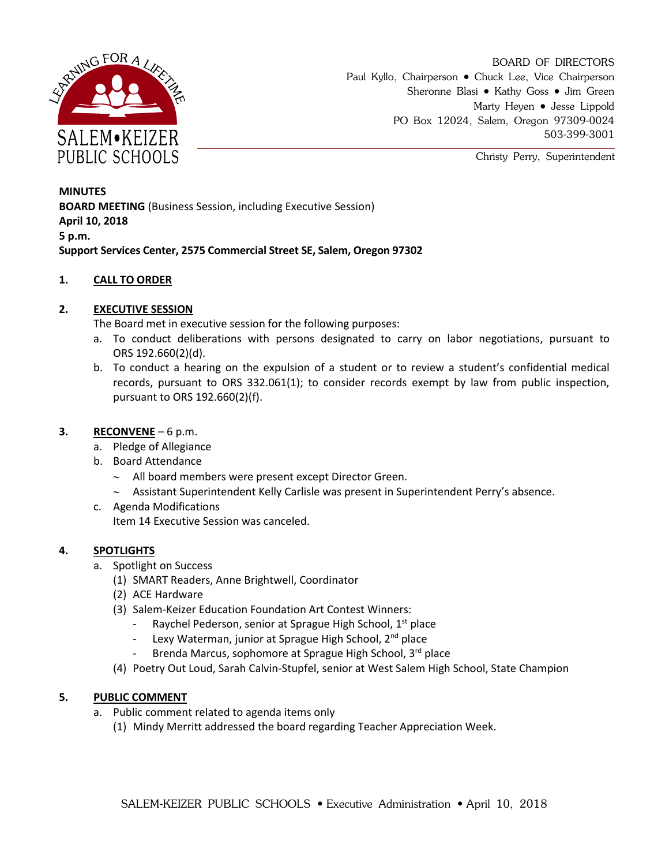

BOARD OF DIRECTORS Paul Kyllo, Chairperson • Chuck Lee, Vice Chairperson Sheronne Blasi • Kathy Goss • Jim Green Marty Heyen • Jesse Lippold PO Box 12024, Salem, Oregon 97309-0024 503-399-3001

Christy Perry, Superintendent

**MINUTES BOARD MEETING** (Business Session, including Executive Session) **April 10, 2018 5 p.m. Support Services Center, 2575 Commercial Street SE, Salem, Oregon 97302**

## **1. CALL TO ORDER**

# **2. EXECUTIVE SESSION**

The Board met in executive session for the following purposes:

- a. To conduct deliberations with persons designated to carry on labor negotiations, pursuant to ORS 192.660(2)(d).
- b. To conduct a hearing on the expulsion of a student or to review a student's confidential medical records, pursuant to ORS 332.061(1); to consider records exempt by law from public inspection, pursuant to ORS 192.660(2)(f).

## **3. RECONVENE** – 6 p.m.

- a. Pledge of Allegiance
- b. Board Attendance
	- $\sim$  All board members were present except Director Green.
	- $\sim$  Assistant Superintendent Kelly Carlisle was present in Superintendent Perry's absence.
- c. Agenda Modifications Item 14 Executive Session was canceled.

## **4. SPOTLIGHTS**

- a. Spotlight on Success
	- (1) SMART Readers, Anne Brightwell, Coordinator
	- (2) ACE Hardware
	- (3) Salem-Keizer Education Foundation Art Contest Winners:
		- Raychel Pederson, senior at Sprague High School, 1<sup>st</sup> place
		- Lexy Waterman, junior at Sprague High School, 2<sup>nd</sup> place
		- Brenda Marcus, sophomore at Sprague High School, 3rd place
	- (4) Poetry Out Loud, Sarah Calvin-Stupfel, senior at West Salem High School, State Champion

## **5. PUBLIC COMMENT**

- a. Public comment related to agenda items only
	- (1) Mindy Merritt addressed the board regarding Teacher Appreciation Week.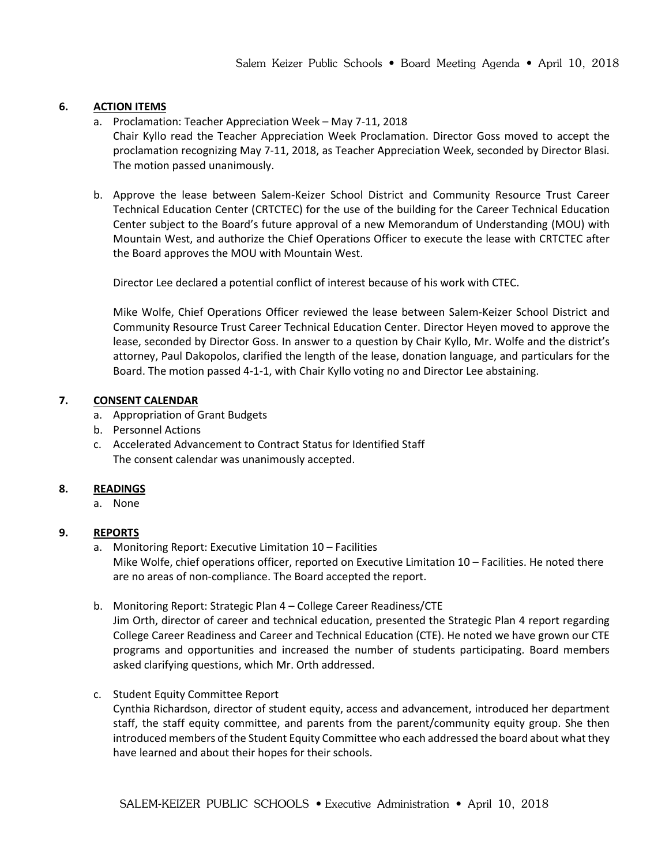## **6. ACTION ITEMS**

a. Proclamation: Teacher Appreciation Week – May 7-11, 2018

Chair Kyllo read the Teacher Appreciation Week Proclamation. Director Goss moved to accept the proclamation recognizing May 7-11, 2018, as Teacher Appreciation Week, seconded by Director Blasi. The motion passed unanimously.

b. Approve the lease between Salem-Keizer School District and Community Resource Trust Career Technical Education Center (CRTCTEC) for the use of the building for the Career Technical Education Center subject to the Board's future approval of a new Memorandum of Understanding (MOU) with Mountain West, and authorize the Chief Operations Officer to execute the lease with CRTCTEC after the Board approves the MOU with Mountain West.

Director Lee declared a potential conflict of interest because of his work with CTEC.

Mike Wolfe, Chief Operations Officer reviewed the lease between Salem-Keizer School District and Community Resource Trust Career Technical Education Center. Director Heyen moved to approve the lease, seconded by Director Goss. In answer to a question by Chair Kyllo, Mr. Wolfe and the district's attorney, Paul Dakopolos, clarified the length of the lease, donation language, and particulars for the Board. The motion passed 4-1-1, with Chair Kyllo voting no and Director Lee abstaining.

#### **7. CONSENT CALENDAR**

- a. Appropriation of Grant Budgets
- b. Personnel Actions
- c. Accelerated Advancement to Contract Status for Identified Staff The consent calendar was unanimously accepted.

## **8. READINGS**

a. None

## **9. REPORTS**

- a. Monitoring Report: Executive Limitation 10 Facilities Mike Wolfe, chief operations officer, reported on Executive Limitation 10 – Facilities. He noted there are no areas of non-compliance. The Board accepted the report.
- b. Monitoring Report: Strategic Plan 4 College Career Readiness/CTE

Jim Orth, director of career and technical education, presented the Strategic Plan 4 report regarding College Career Readiness and Career and Technical Education (CTE). He noted we have grown our CTE programs and opportunities and increased the number of students participating. Board members asked clarifying questions, which Mr. Orth addressed.

c. Student Equity Committee Report

Cynthia Richardson, director of student equity, access and advancement, introduced her department staff, the staff equity committee, and parents from the parent/community equity group. She then introduced members of the Student Equity Committee who each addressed the board about what they have learned and about their hopes for their schools.